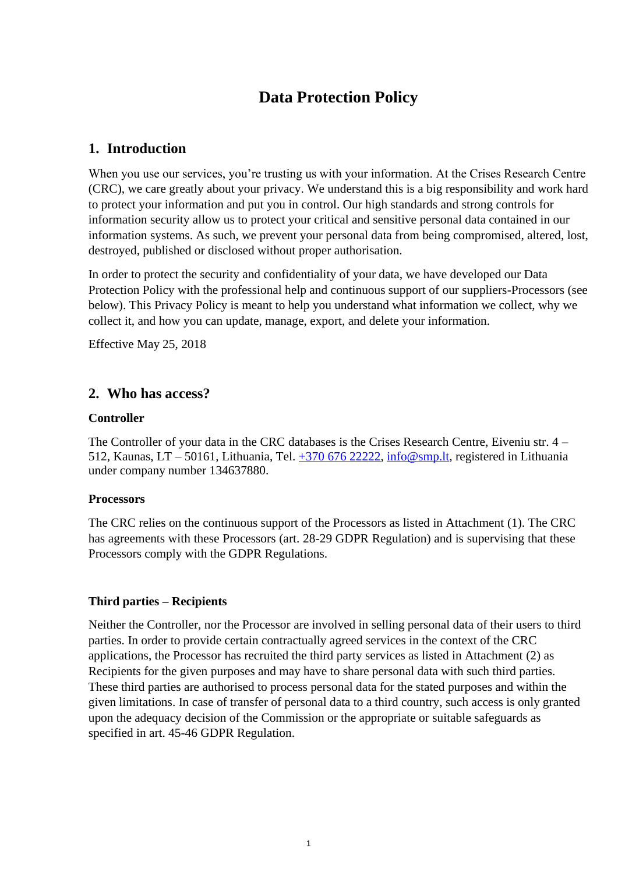# **Data Protection Policy**

## **1. Introduction**

When you use our services, you're trusting us with your information. At the Crises Research Centre (CRC), we care greatly about your privacy. We understand this is a big responsibility and work hard to protect your information and put you in control. Our high standards and strong controls for information security allow us to protect your critical and sensitive personal data contained in our information systems. As such, we prevent your personal data from being compromised, altered, lost, destroyed, published or disclosed without proper authorisation.

In order to protect the security and confidentiality of your data, we have developed our Data Protection Policy with the professional help and continuous support of our suppliers-Processors (see below). This Privacy Policy is meant to help you understand what information we collect, why we collect it, and how you can update, manage, export, and delete your information.

Effective May 25, 2018

## **2. Who has access?**

## **Controller**

The Controller of your data in the CRC databases is the Crises Research Centre, Eiveniu str. 4 – 512, Kaunas, LT – 50161, Lithuania, Tel. +370 676 22222, [info@smp.lt,](mailto:info@smp.lt) registered in Lithuania under company number 134637880.

## **Processors**

The CRC relies on the continuous support of the Processors as listed in Attachment [\(1\).](#page-5-0) The CRC has agreements with these Processors (art. 28-29 GDPR Regulation) and is supervising that these Processors comply with the GDPR Regulations.

## **Third parties – Recipients**

Neither the Controller, nor the Processor are involved in selling personal data of their users to third parties. In order to provide certain contractually agreed services in the context of the CRC applications, the Processor has recruited the third party services as listed in Attachment [\(2\) a](#page-7-0)s Recipients for the given purposes and may have to share personal data with such third parties. These third parties are authorised to process personal data for the stated purposes and within the given limitations. In case of transfer of personal data to a third country, such access is only granted upon the adequacy decision of the Commission or the appropriate or suitable safeguards as specified in art. 45-46 GDPR Regulation.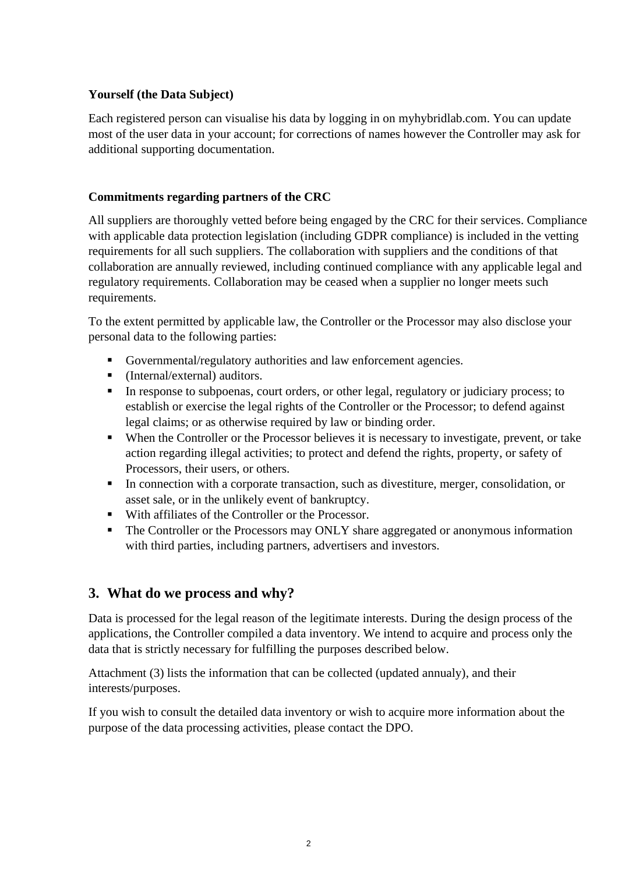## **Yourself (the Data Subject)**

Each registered person can visualise his data by logging in on [myhybridlab.com.](https://www.myhybridlab.com/) You can update most of the user data in your account; for corrections of names however the Controller may ask for additional supporting documentation.

## **Commitments regarding partners of the CRC**

All suppliers are thoroughly vetted before being engaged by the CRC for their services. Compliance with applicable data protection legislation (including GDPR compliance) is included in the vetting requirements for all such suppliers. The collaboration with suppliers and the conditions of that collaboration are annually reviewed, including continued compliance with any applicable legal and regulatory requirements. Collaboration may be ceased when a supplier no longer meets such requirements.

To the extent permitted by applicable law, the Controller or the Processor may also disclose your personal data to the following parties:

- Governmental/regulatory authorities and law enforcement agencies.
- (Internal/external) auditors.
- **IF** In response to subpoenas, court orders, or other legal, regulatory or judiciary process; to establish or exercise the legal rights of the Controller or the Processor; to defend against legal claims; or as otherwise required by law or binding order.
- When the Controller or the Processor believes it is necessary to investigate, prevent, or take action regarding illegal activities; to protect and defend the rights, property, or safety of Processors, their users, or others.
- In connection with a corporate transaction, such as divestiture, merger, consolidation, or asset sale, or in the unlikely event of bankruptcy.
- With affiliates of the Controller or the Processor.
- **•** The Controller or the Processors may ONLY share aggregated or anonymous information with third parties, including partners, advertisers and investors.

## **3. What do we process and why?**

Data is processed for the legal reason of the legitimate interests. During the design process of the applications, the Controller compiled a data inventory. We intend to acquire and process only the data that is strictly necessary for fulfilling the purposes described below.

Attachment [\(3\)](#page-8-0) lists the information that can be collected (updated annualy), and their interests/purposes.

If you wish to consult the detailed data inventory or wish to acquire more information about the purpose of the data processing activities, please contact the DPO.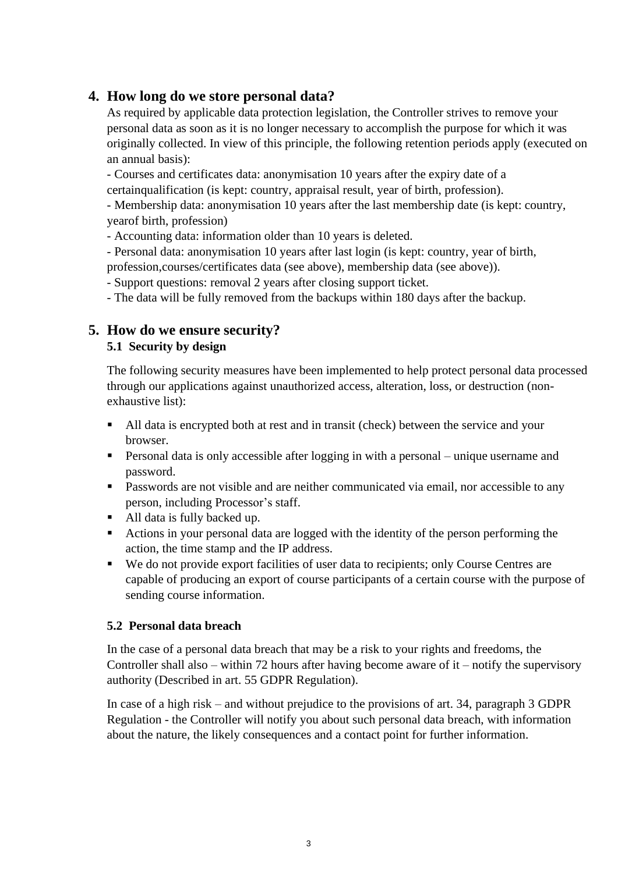## **4. How long do we store personal data?**

As required by applicable data protection legislation, the Controller strives to remove your personal data as soon as it is no longer necessary to accomplish the purpose for which it was originally collected. In view of this principle, the following retention periods apply (executed on an annual basis):

- Courses and certificates data: anonymisation 10 years after the expiry date of a certainqualification (is kept: country, appraisal result, year of birth, profession).

- Membership data: anonymisation 10 years after the last membership date (is kept: country, yearof birth, profession)

- Accounting data: information older than 10 years is deleted.

- Personal data: anonymisation 10 years after last login (is kept: country, year of birth, profession,courses/certificates data (see above), membership data (see above)).

- Support questions: removal 2 years after closing support ticket.

- The data will be fully removed from the backups within 180 days after the backup.

## **5. How do we ensure security? 5.1 Security by design**

The following security measures have been implemented to help protect personal data processed through our applications against unauthorized access, alteration, loss, or destruction (nonexhaustive list):

- All data is encrypted both at rest and in transit (check) between the service and your browser.
- **•** Personal data is only accessible after logging in with a personal unique username and password.
- **•** Passwords are not visible and are neither communicated via email, nor accessible to any person, including Processor's staff.
- All data is fully backed up.
- Actions in your personal data are logged with the identity of the person performing the action, the time stamp and the IP address.
- We do not provide export facilities of user data to recipients; only Course Centres are capable of producing an export of course participants of a certain course with the purpose of sending course information.

## **5.2 Personal data breach**

In the case of a personal data breach that may be a risk to your rights and freedoms, the Controller shall also – within 72 hours after having become aware of it – notify the supervisory authority (Described in art. 55 GDPR Regulation).

In case of a high risk – and without prejudice to the provisions of art. 34, paragraph 3 GDPR Regulation - the Controller will notify you about such personal data breach, with information about the nature, the likely consequences and a contact point for further information.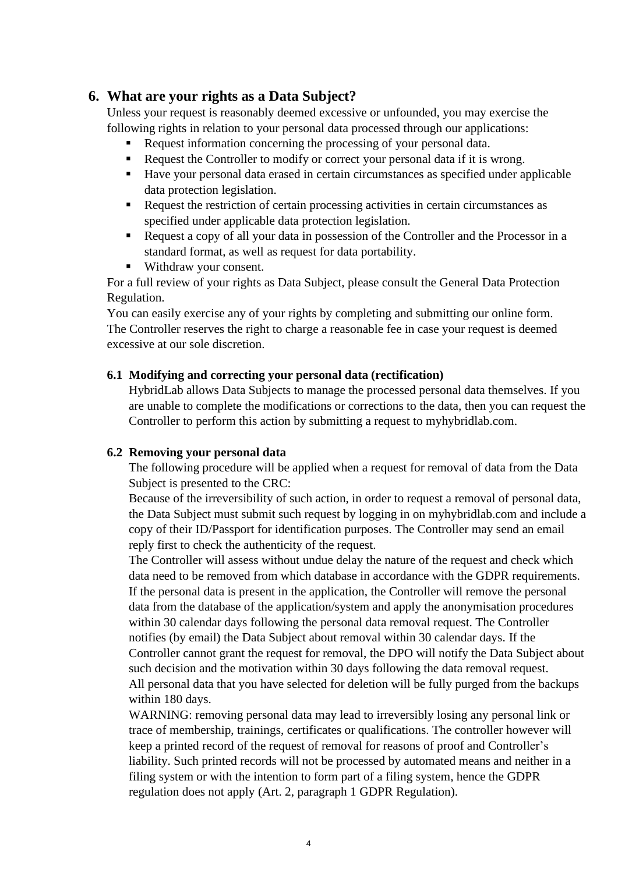## **6. What are your rights as a Data Subject?**

Unless your request is reasonably deemed excessive or unfounded, you may exercise the following rights in relation to your personal data processed through our applications:

- Request information concerning the processing of your personal data.
- Request the Controller to modify or correct your personal data if it is wrong.
- Have your personal data erased in certain circumstances as specified under applicable data protection legislation.
- Request the restriction of certain processing activities in certain circumstances as specified under applicable data protection legislation.
- Request a copy of all your data in possession of the Controller and the Processor in a standard format, as well as request for data portability.
- Withdraw your consent.

For a full review of your rights as Data Subject, please consult the General Data Protection Regulation.

You can easily exercise any of your rights by completing and submitting our online form. The Controller reserves the right to charge a reasonable fee in case your request is deemed excessive at our sole discretion.

#### **6.1 Modifying and correcting your personal data (rectification)**

HybridLab allows Data Subjects to manage the processed personal data themselves. If you are unable to complete the modifications or corrections to the data, then you can request the Controller to perform this action by submitting a request to [myhybridlab.com.](https://www.myhybridlab.com/)

## **6.2 Removing your personal data**

The following procedure will be applied when a request for removal of data from the Data Subject is presented to the CRC:

Because of the irreversibility of such action, in order to request a removal of personal data, the Data Subject must submit such request by logging in on [myhybridlab.com a](https://www.myhybridlab.com/)nd include a copy of their ID/Passport for identification purposes. The Controller may send an email reply first to check the authenticity of the request.

The Controller will assess without undue delay the nature of the request and check which data need to be removed from which database in accordance with the GDPR requirements. If the personal data is present in the application, the Controller will remove the personal data from the database of the application/system and apply the anonymisation procedures within 30 calendar days following the personal data removal request. The Controller notifies (by email) the Data Subject about removal within 30 calendar days. If the Controller cannot grant the request for removal, the DPO will notify the Data Subject about such decision and the motivation within 30 days following the data removal request. All personal data that you have selected for deletion will be fully purged from the backups within 180 days.

WARNING: removing personal data may lead to irreversibly losing any personal link or trace of membership, trainings, certificates or qualifications. The controller however will keep a printed record of the request of removal for reasons of proof and Controller's liability. Such printed records will not be processed by automated means and neither in a filing system or with the intention to form part of a filing system, hence the GDPR regulation does not apply (Art. 2, paragraph 1 GDPR Regulation).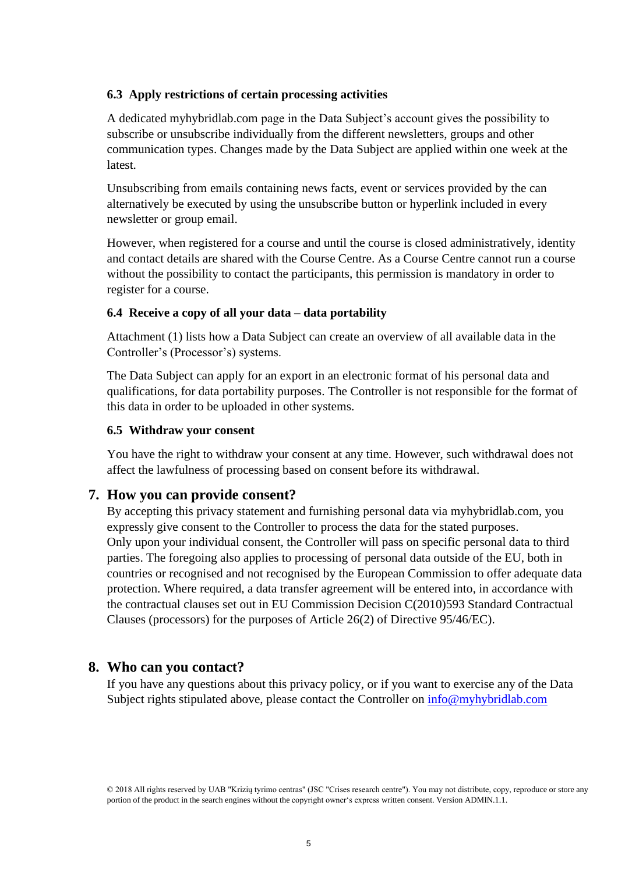#### **6.3 Apply restrictions of certain processing activities**

A dedicated [myhybridlab.com p](https://www.myhybridlab.com/)age in the Data Subject's account gives the possibility to subscribe or unsubscribe individually from the different newsletters, groups and other communication types. Changes made by the Data Subject are applied within one week at the latest.

Unsubscribing from emails containing news facts, event or services provided by the can alternatively be executed by using the unsubscribe button or hyperlink included in every newsletter or group email.

However, when registered for a course and until the course is closed administratively, identity and contact details are shared with the Course Centre. As a Course Centre cannot run a course without the possibility to contact the participants, this permission is mandatory in order to register for a course.

#### **6.4 Receive a copy of all your data – data portability**

Attachment [\(1\)](#page-5-0) lists how a Data Subject can create an overview of all available data in the Controller's (Processor's) systems.

The Data Subject can apply for an export in an electronic format of his personal data and qualifications, for data portability purposes. The Controller is not responsible for the format of this data in order to be uploaded in other systems.

#### **6.5 Withdraw your consent**

You have the right to withdraw your consent at any time. However, such withdrawal does not affect the lawfulness of processing based on consent before its withdrawal.

## **7. How you can provide consent?**

By accepting this privacy statement and furnishing personal data via [myhybridlab.com,](https://www.myhybridlab.com/) you expressly give consent to the Controller to process the data for the stated purposes. Only upon your individual consent, the Controller will pass on specific personal data to third parties. The foregoing also applies to processing of personal data outside of the EU, both in countries or recognised and not recognised by the European Commission to offer adequate data protection. Where required, a data transfer agreement will be entered into, in accordance with the contractual clauses set out in EU Commission Decision C(2010)593 Standard Contractual Clauses (processors) for the purposes of Article 26(2) of Directive 95/46/EC).

## **8. Who can you contact?**

If you have any questions about this privacy policy, or if you want to exercise any of the Data Subject rights stipulated above, please contact the Controller on  $\inf$ <sup>o</sup> emyhybridlab.com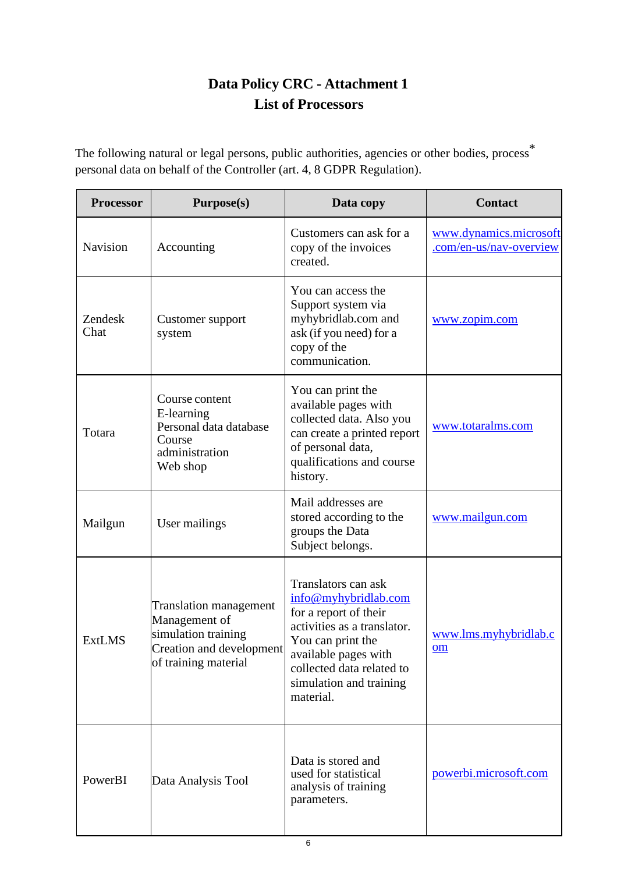# **Data Policy CRC - Attachment 1 List of Processors**

<span id="page-5-0"></span>The following natural or legal persons, public authorities, agencies or other bodies, process<sup>\*</sup> personal data on behalf of the Controller (art. 4, 8 GDPR Regulation).

| <b>Processor</b> | <b>Purpose(s)</b>                                                                                                         | Data copy                                                                                                                                                                                                             | <b>Contact</b>                                    |
|------------------|---------------------------------------------------------------------------------------------------------------------------|-----------------------------------------------------------------------------------------------------------------------------------------------------------------------------------------------------------------------|---------------------------------------------------|
| <b>Navision</b>  | Accounting                                                                                                                | Customers can ask for a<br>copy of the invoices<br>created.                                                                                                                                                           | www.dynamics.microsoft<br>.com/en-us/nav-overview |
| Zendesk<br>Chat  | Customer support<br>system                                                                                                | You can access the<br>Support system via<br>myhybridlab.com and<br>ask (if you need) for a<br>copy of the<br>communication.                                                                                           | www.zopim.com                                     |
| Totara           | Course content<br>E-learning<br>Personal data database<br>Course<br>administration<br>Web shop                            | You can print the<br>available pages with<br>collected data. Also you<br>can create a printed report<br>of personal data,<br>qualifications and course<br>history.                                                    | www.totaralms.com                                 |
| Mailgun          | User mailings                                                                                                             | Mail addresses are<br>stored according to the<br>groups the Data<br>Subject belongs.                                                                                                                                  | www.mailgun.com                                   |
| <b>ExtLMS</b>    | <b>Translation management</b><br>Management of<br>simulation training<br>Creation and development<br>of training material | Translators can ask<br>info@myhybridlab.com<br>for a report of their<br>activities as a translator.<br>You can print the<br>available pages with<br>collected data related to<br>simulation and training<br>material. | www.lms.myhybridlab.c<br>om                       |
| PowerBI          | Data Analysis Tool                                                                                                        | Data is stored and<br>used for statistical<br>analysis of training<br>parameters.                                                                                                                                     | powerbi.microsoft.com                             |

6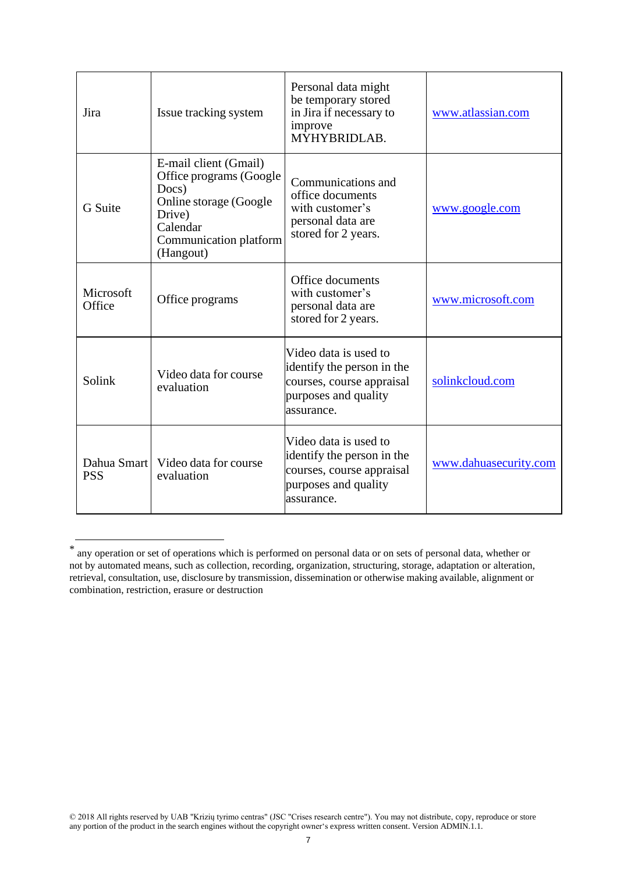| Jira                      | Issue tracking system                                                                                                                            | Personal data might<br>be temporary stored<br>in Jira if necessary to<br>improve<br>MŶHYBRIDLAB.                       | www.atlassian.com     |
|---------------------------|--------------------------------------------------------------------------------------------------------------------------------------------------|------------------------------------------------------------------------------------------------------------------------|-----------------------|
| <b>G</b> Suite            | E-mail client (Gmail)<br>Office programs (Google<br>Docs)<br>Online storage (Google<br>Drive)<br>Calendar<br>Communication platform<br>(Hangout) | Communications and<br>office documents<br>with customer's<br>personal data are<br>stored for 2 years.                  | www.google.com        |
| Microsoft<br>Office       | Office programs                                                                                                                                  | Office documents<br>with customer's<br>personal data are<br>stored for 2 years.                                        | www.microsoft.com     |
| Solink                    | Video data for course<br>evaluation                                                                                                              | Video data is used to<br>identify the person in the<br>courses, course appraisal<br>purposes and quality<br>assurance. | solinkcloud.com       |
| Dahua Smart<br><b>PSS</b> | Video data for course<br>evaluation                                                                                                              | Video data is used to<br>identify the person in the<br>courses, course appraisal<br>purposes and quality<br>assurance. | www.dahuasecurity.com |

<sup>\*</sup> any operation or set of operations which is performed on personal data or on sets of personal data, whether or not by automated means, such as collection, recording, organization, structuring, storage, adaptation or alteration, retrieval, consultation, use, disclosure by transmission, dissemination or otherwise making available, alignment or combination, restriction, erasure or destruction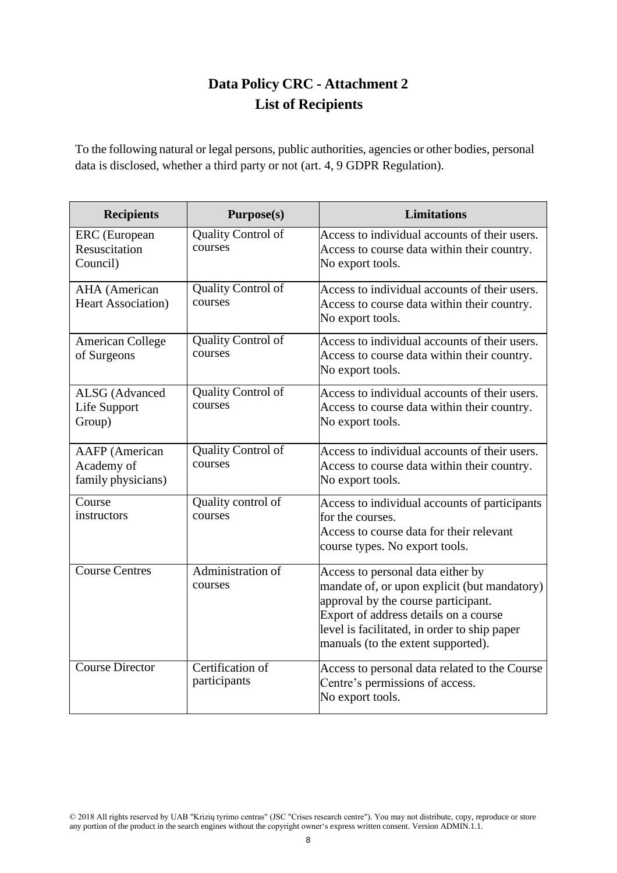# **Data Policy CRC - Attachment 2 List of Recipients**

<span id="page-7-0"></span>To the following natural or legal persons, public authorities, agencies or other bodies, personal data is disclosed, whether a third party or not (art. 4, 9 GDPR Regulation).

| <b>Recipients</b>                                         | Purpose(s)                           | <b>Limitations</b>                                                                                                                                                                                                                                      |  |
|-----------------------------------------------------------|--------------------------------------|---------------------------------------------------------------------------------------------------------------------------------------------------------------------------------------------------------------------------------------------------------|--|
| <b>ERC</b> (European<br>Resuscitation<br>Council)         | Quality Control of<br>courses        | Access to individual accounts of their users.<br>Access to course data within their country.<br>No export tools.                                                                                                                                        |  |
| <b>AHA</b> (American<br><b>Heart Association</b> )        | Quality Control of<br>courses        | Access to individual accounts of their users.<br>Access to course data within their country.<br>No export tools.                                                                                                                                        |  |
| <b>American College</b><br>of Surgeons                    | <b>Quality Control of</b><br>courses | Access to individual accounts of their users.<br>Access to course data within their country.<br>No export tools.                                                                                                                                        |  |
| <b>ALSG</b> (Advanced<br>Life Support<br>Group)           | Quality Control of<br>courses        | Access to individual accounts of their users.<br>Access to course data within their country.<br>No export tools.                                                                                                                                        |  |
| <b>AAFP</b> (American<br>Academy of<br>family physicians) | Quality Control of<br>courses        | Access to individual accounts of their users.<br>Access to course data within their country.<br>No export tools.                                                                                                                                        |  |
| Course<br>instructors                                     | Quality control of<br>courses        | Access to individual accounts of participants<br>for the courses.<br>Access to course data for their relevant<br>course types. No export tools.                                                                                                         |  |
| <b>Course Centres</b>                                     | Administration of<br>courses         | Access to personal data either by<br>mandate of, or upon explicit (but mandatory)<br>approval by the course participant.<br>Export of address details on a course<br>level is facilitated, in order to ship paper<br>manuals (to the extent supported). |  |
| <b>Course Director</b>                                    | Certification of<br>participants     | Access to personal data related to the Course<br>Centre's permissions of access.<br>No export tools.                                                                                                                                                    |  |

© 2018 All rights reserved by UAB "Krizių tyrimo centras" (JSC "Crises research centre"). You may not distribute, copy, reproduce or store any portion of the product in the search engines without the copyright owner's express written consent. Version ADMIN.1.1.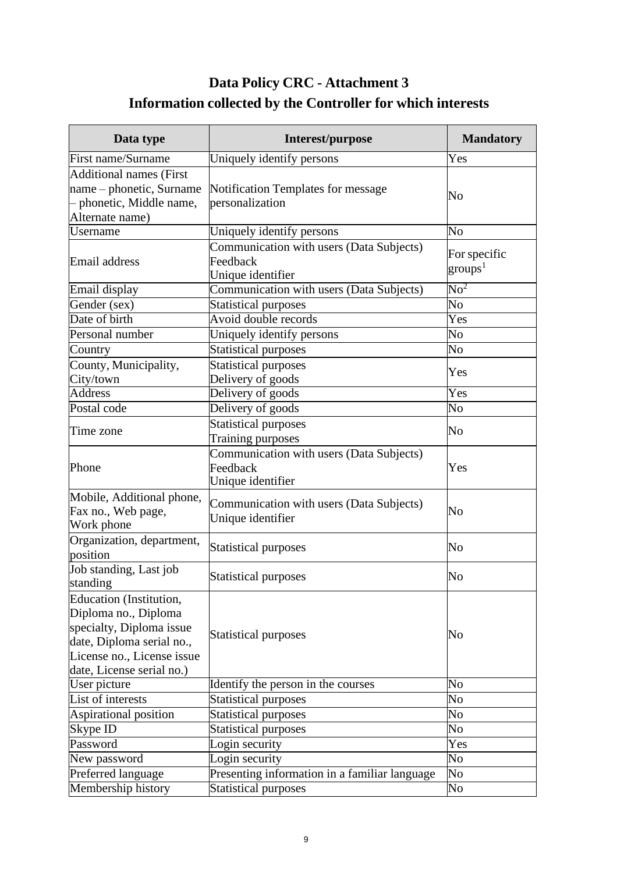# **Data Policy CRC - Attachment 3 Information collected by the Controller for which interests**

<span id="page-8-0"></span>

| Data type                                                                                                                                                           | Interest/purpose                                                          | <b>Mandatory</b>                  |
|---------------------------------------------------------------------------------------------------------------------------------------------------------------------|---------------------------------------------------------------------------|-----------------------------------|
| First name/Surname                                                                                                                                                  | Uniquely identify persons                                                 | Yes                               |
| <b>Additional names (First</b><br>name – phonetic, Surname<br>- phonetic, Middle name,<br>Alternate name)                                                           | Notification Templates for message<br>personalization                     | No                                |
| <b>Username</b>                                                                                                                                                     | Uniquely identify persons                                                 | N <sub>0</sub>                    |
| Email address                                                                                                                                                       | Communication with users (Data Subjects)<br>Feedback<br>Unique identifier | For specific<br>$\text{groups}^1$ |
| Email display                                                                                                                                                       | Communication with users (Data Subjects)                                  | $\overline{\rm No}^2$             |
| Gender (sex)                                                                                                                                                        | <b>Statistical purposes</b>                                               | $\overline{\text{No}}$            |
| Date of birth                                                                                                                                                       | Avoid double records                                                      | Yes                               |
| Personal number                                                                                                                                                     | Uniquely identify persons                                                 | No                                |
| Country                                                                                                                                                             | <b>Statistical purposes</b>                                               | $\overline{\text{No}}$            |
| County, Municipality,<br>City/town                                                                                                                                  | <b>Statistical purposes</b><br>Delivery of goods                          | Yes                               |
| <b>Address</b>                                                                                                                                                      | Delivery of goods                                                         | Yes                               |
| Postal code                                                                                                                                                         | Delivery of goods                                                         | No                                |
| Time zone                                                                                                                                                           | <b>Statistical purposes</b><br>Training purposes                          | No                                |
| Phone                                                                                                                                                               | Communication with users (Data Subjects)<br>Feedback<br>Unique identifier | Yes                               |
| Mobile, Additional phone,<br>Fax no., Web page,<br>Work phone                                                                                                       | Communication with users (Data Subjects)<br>Unique identifier             | No                                |
| Organization, department,<br>position                                                                                                                               | <b>Statistical purposes</b>                                               | No                                |
| Job standing, Last job<br>standing                                                                                                                                  | Statistical purposes                                                      | No                                |
| Education (Institution,<br>Diploma no., Diploma<br>specialty, Diploma issue<br>date, Diploma serial no.,<br>License no., License issue<br>date, License serial no.) | <b>Statistical purposes</b>                                               | No                                |
| User picture                                                                                                                                                        | Identify the person in the courses                                        | No                                |
| List of interests                                                                                                                                                   | Statistical purposes                                                      | No                                |
| Aspirational position                                                                                                                                               | <b>Statistical purposes</b>                                               | No                                |
| Skype ID                                                                                                                                                            | <b>Statistical purposes</b>                                               | No                                |
| Password                                                                                                                                                            | Login security                                                            | Yes                               |
| New password                                                                                                                                                        | Login security                                                            | No                                |
| Preferred language                                                                                                                                                  | Presenting information in a familiar language                             | No                                |
| Membership history                                                                                                                                                  | <b>Statistical purposes</b>                                               | N <sub>0</sub>                    |